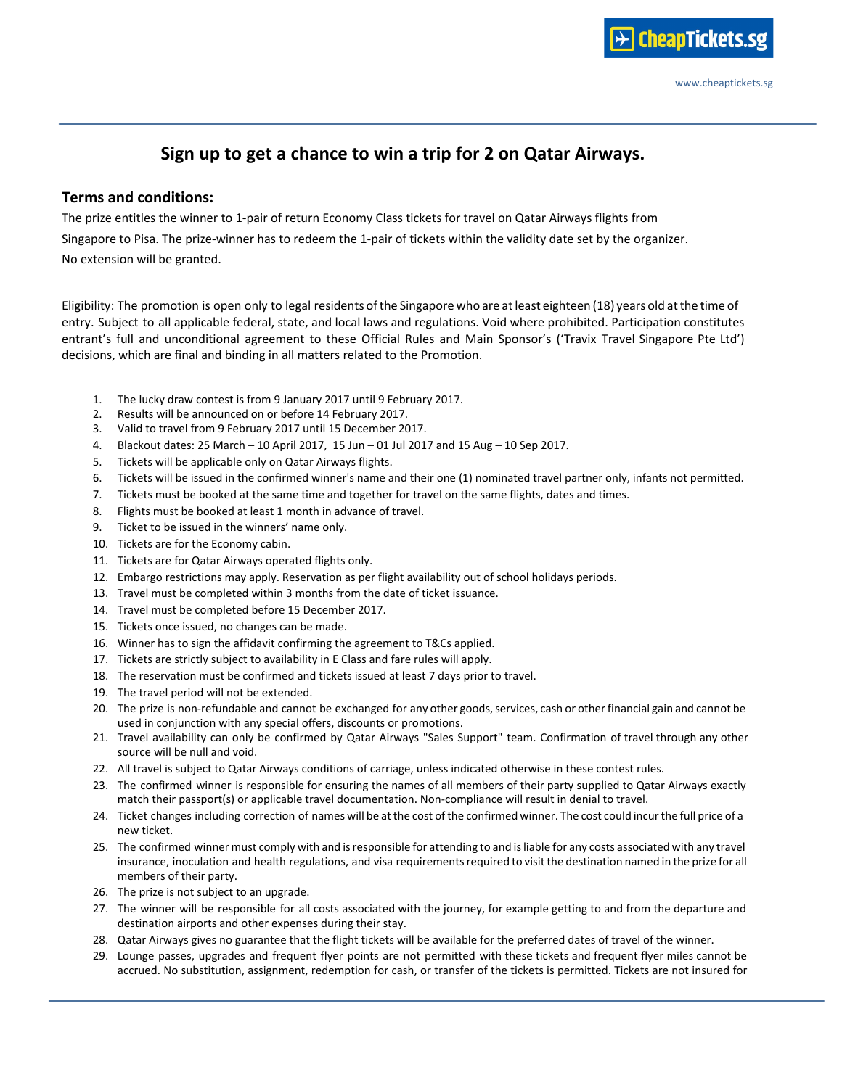## **Sign up to get a chance to win a trip for 2 on Qatar Airways.**

## **Terms and conditions:**

The prize entitles the winner to 1-pair of return Economy Class tickets for travel on Qatar Airways flights from Singapore to Pisa. The prize-winner has to redeem the 1-pair of tickets within the validity date set by the organizer. No extension will be granted.

Eligibility: The promotion is open only to legal residents ofthe Singapore who are atleast eighteen (18) years old atthe time of entry. Subject to all applicable federal, state, and local laws and regulations. Void where prohibited. Participation constitutes entrant's full and unconditional agreement to these Official Rules and Main Sponsor's ('Travix Travel Singapore Pte Ltd') decisions, which are final and binding in all matters related to the Promotion.

- 1. The lucky draw contest is from 9 January 2017 until 9 February 2017.
- 2. Results will be announced on or before 14 February 2017.
- 3. Valid to travel from 9 February 2017 until 15 December 2017.
- 4. Blackout dates: 25 March 10 April 2017, 15 Jun 01 Jul 2017 and 15 Aug 10 Sep 2017.
- 5. Tickets will be applicable only on Qatar Airways flights.
- 6. Tickets will be issued in the confirmed winner's name and their one (1) nominated travel partner only, infants not permitted.
- 7. Tickets must be booked at the same time and together for travel on the same flights, dates and times.
- 8. Flights must be booked at least 1 month in advance of travel.
- 9. Ticket to be issued in the winners' name only.
- 10. Tickets are for the Economy cabin.
- 11. Tickets are for Qatar Airways operated flights only.
- 12. Embargo restrictions may apply. Reservation as per flight availability out of school holidays periods.
- 13. Travel must be completed within 3 months from the date of ticket issuance.
- 14. Travel must be completed before 15 December 2017.
- 15. Tickets once issued, no changes can be made.
- 16. Winner has to sign the affidavit confirming the agreement to T&Cs applied.
- 17. Tickets are strictly subject to availability in E Class and fare rules will apply.
- 18. The reservation must be confirmed and tickets issued at least 7 days prior to travel.
- 19. The travel period will not be extended.
- 20. The prize is non-refundable and cannot be exchanged for any other goods, services, cash or other financial gain and cannot be used in conjunction with any special offers, discounts or promotions.
- 21. Travel availability can only be confirmed by Qatar Airways "Sales Support" team. Confirmation of travel through any other source will be null and void.
- 22. All travel is subject to Qatar Airways conditions of carriage, unless indicated otherwise in these contest rules.
- 23. The confirmed winner is responsible for ensuring the names of all members of their party supplied to Qatar Airways exactly match their passport(s) or applicable travel documentation. Non-compliance will result in denial to travel.
- 24. Ticket changes including correction of names will be at the cost of the confirmed winner. The cost could incurthe full price of a new ticket.
- 25. The confirmed winner must comply with and isresponsible for attending to and isliable for any costs associated with any travel insurance, inoculation and health regulations, and visa requirements required to visit the destination named in the prize for all members of their party.
- 26. The prize is not subject to an upgrade.
- 27. The winner will be responsible for all costs associated with the journey, for example getting to and from the departure and destination airports and other expenses during their stay.
- 28. Qatar Airways gives no guarantee that the flight tickets will be available for the preferred dates of travel of the winner.
- 29. Lounge passes, upgrades and frequent flyer points are not permitted with these tickets and frequent flyer miles cannot be accrued. No substitution, assignment, redemption for cash, or transfer of the tickets is permitted. Tickets are not insured for